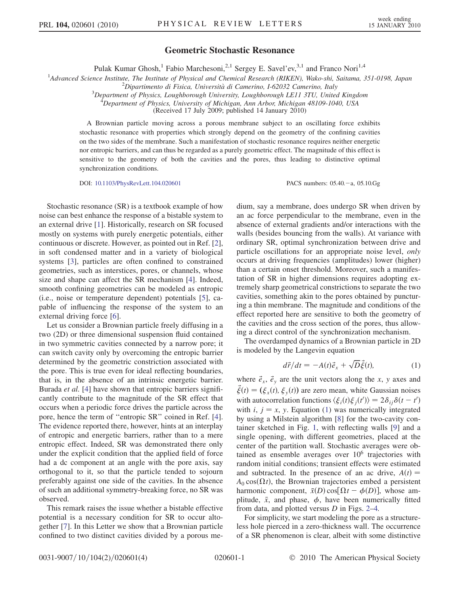## Geometric Stochastic Resonance

Pulak Kumar Ghosh,<sup>1</sup> Fabio Marchesoni,<sup>2,1</sup> Sergey E. Savel'ev,<sup>3,1</sup> and Franco Nori<sup>1,4</sup>

<sup>1</sup>Advanced Science Institute, The Institute of Physical and Chemical Research (RIKEN), Wako-shi, Saitama, 351-0198, Japan <sup>2</sup> Dinastimanto di Eisica, Università di Camarino 162032 Camarino Italy

 $2$ Dipartimento di Fisica, Università di Camerino, I-62032 Camerino, Italy

 $3$ Department of Physics, Loughborough University, Loughborough LE11 3TU, United Kingdom

 $^4$ Department of Physics, University of Michigan, Ann Arbor, Michigan 48109-1040, USA

(Received 17 July 2009; published 14 January 2010)

A Brownian particle moving across a porous membrane subject to an oscillating force exhibits stochastic resonance with properties which strongly depend on the geometry of the confining cavities on the two sides of the membrane. Such a manifestation of stochastic resonance requires neither energetic nor entropic barriers, and can thus be regarded as a purely geometric effect. The magnitude of this effect is sensitive to the geometry of both the cavities and the pores, thus leading to distinctive optimal synchronization conditions.

DOI: [10.1103/PhysRevLett.104.020601](http://dx.doi.org/10.1103/PhysRevLett.104.020601) PACS numbers: 05.40. - a, 05.10.Gg

Stochastic resonance (SR) is a textbook example of how noise can best enhance the response of a bistable system to an external drive [\[1](#page-3-0)]. Historically, research on SR focused mostly on systems with purely energetic potentials, either continuous or discrete. However, as pointed out in Ref. [[2\]](#page-3-1), in soft condensed matter and in a variety of biological systems [\[3\]](#page-3-2), particles are often confined to constrained geometries, such as interstices, pores, or channels, whose size and shape can affect the SR mechanism [\[4](#page-3-3)]. Indeed, smooth confining geometries can be modeled as entropic (i.e., noise or temperature dependent) potentials [[5\]](#page-3-4), capable of influencing the response of the system to an external driving force [[6](#page-3-5)].

Let us consider a Brownian particle freely diffusing in a two (2D) or three dimensional suspension fluid contained in two symmetric cavities connected by a narrow pore; it can switch cavity only by overcoming the entropic barrier determined by the geometric constriction associated with the pore. This is true even for ideal reflecting boundaries, that is, in the absence of an intrinsic energetic barrier. Burada *et al.* [[4\]](#page-3-3) have shown that entropic barriers significantly contribute to the magnitude of the SR effect that occurs when a periodic force drives the particle across the pore, hence the term of ''entropic SR'' coined in Ref. [[4\]](#page-3-3). The evidence reported there, however, hints at an interplay of entropic and energetic barriers, rather than to a mere entropic effect. Indeed, SR was demonstrated there only under the explicit condition that the applied field of force had a dc component at an angle with the pore axis, say orthogonal to it, so that the particle tended to sojourn preferably against one side of the cavities. In the absence of such an additional symmetry-breaking force, no SR was observed.

This remark raises the issue whether a bistable effective potential is a necessary condition for SR to occur altogether [\[7\]](#page-3-6). In this Letter we show that a Brownian particle confined to two distinct cavities divided by a porous medium, say a membrane, does undergo SR when driven by an ac force perpendicular to the membrane, even in the absence of external gradients and/or interactions with the walls (besides bouncing from the walls). At variance with ordinary SR, optimal synchronization between drive and particle oscillations for an appropriate noise level, only occurs at driving frequencies (amplitudes) lower (higher) than a certain onset threshold. Moreover, such a manifestation of SR in higher dimensions requires adopting extremely sharp geometrical constrictions to separate the two cavities, something akin to the pores obtained by puncturing a thin membrane. The magnitude and conditions of the effect reported here are sensitive to both the geometry of the cavities and the cross section of the pores, thus allowing a direct control of the synchronization mechanism.

<span id="page-0-0"></span>The overdamped dynamics of a Brownian particle in 2D is modeled by the Langevin equation

$$
d\vec{r}/dt = -A(t)\vec{e}_x + \sqrt{D}\vec{\xi}(t),
$$
 (1)

where  $\vec{e}_x$ ,  $\vec{e}_y$  are the unit vectors along the x, y axes and  $\xi(t) = (\xi_x(t), \xi_y(t))$  are zero mean, white Gaussian noises with autocorrelation functions  $\langle \xi_i(t) \xi_j(t') \rangle = 2\delta_{ij} \delta(t - t')$ with i,  $j = x$ , y. Equation ([1\)](#page-0-0) was numerically integrated by using a Milstein algorithm [\[8](#page-3-7)] for the two-cavity container sketched in Fig. [1](#page-1-0), with reflecting walls [[9\]](#page-3-8) and a single opening, with different geometries, placed at the center of the partition wall. Stochastic averages were obtained as ensemble averages over  $10<sup>6</sup>$  trajectories with random initial conditions; transient effects were estimated and subtracted. In the presence of an ac drive,  $A(t) =$  $A_0 \cos(\Omega t)$ , the Brownian trajectories embed a persistent harmonic component,  $\bar{x}(D)\cos[\Omega t - \phi(D)]$ , whose amplitude,  $\bar{x}$ , and phase,  $\phi$ , have been numerically fitted from data, and plotted versus D in Figs. [2–](#page-1-1)[4.](#page-2-0)

For simplicity, we start modeling the pore as a structureless hole pierced in a zero-thickness wall. The occurrence of a SR phenomenon is clear, albeit with some distinctive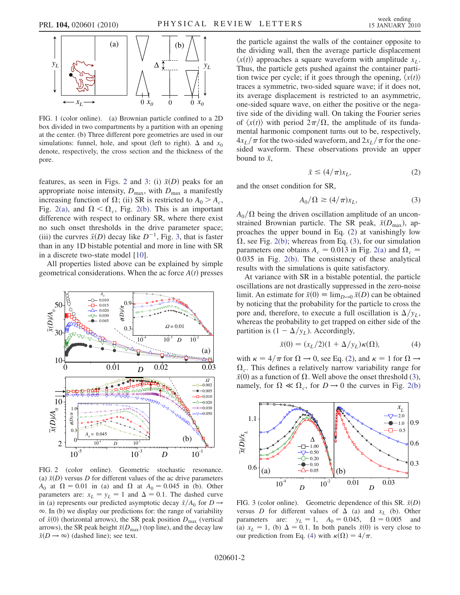<span id="page-1-0"></span>

<span id="page-1-8"></span>FIG. 1 (color online). (a) Brownian particle confined to a 2D box divided in two compartments by a partition with an opening at the center. (b) Three different pore geometries are used in our simulations: funnel, hole, and spout (left to right).  $\Delta$  and  $x_0$ denote, respectively, the cross section and the thickness of the pore.

features, as seen in Figs. [2](#page-1-1) and [3:](#page-1-2) (i)  $\bar{x}(D)$  peaks for an appropriate noise intensity,  $D_{\text{max}}$ , with  $D_{\text{max}}$  a manifestly increasing function of  $\Omega$ ; (ii) SR is restricted to  $A_0 > A_c$ , Fig. [2\(a\)](#page-1-3), and  $\Omega < \Omega_c$ , Fig. [2\(b\).](#page-1-3) This is an important difference with respect to ordinary SR, where there exist no such onset thresholds in the drive parameter space; (iii) the curvres  $\bar{x}(D)$  decay like  $D^{-1}$ , Fig. [3](#page-1-2), that is faster than in any 1D bistable potential and more in line with SR in a discrete two-state model [[10](#page-3-9)].

All properties listed above can be explained by simple geometrical considerations. When the ac force  $A(t)$  presses

<span id="page-1-1"></span>

<span id="page-1-3"></span>FIG. 2 (color online). Geometric stochastic resonance. (a)  $\bar{x}(D)$  versus D for different values of the ac drive parameters  $A_0$  at  $\Omega = 0.01$  in (a) and  $\Omega$  at  $A_0 = 0.045$  in (b). Other parameters are:  $x_L = y_L = 1$  and  $\Delta = 0.1$ . The dashed curve in (a) represents our predicted asymptotic decay  $\bar{x}/A_0$  for  $D \rightarrow$  $\infty$ . In (b) we display our predictions for: the range of variability of  $\bar{x}(0)$  (horizontal arrows), the SR peak position  $D_{\text{max}}$  (vertical arrows), the SR peak height  $\bar{x}(D_{\text{max}})$  (top line), and the decay law  $\bar{x}(D \rightarrow \infty)$  (dashed line); see text.

the particle against the walls of the container opposite to the dividing wall, then the average particle displacement  $\langle x(t) \rangle$  approaches a square waveform with amplitude  $x_L$ . Thus, the particle gets pushed against the container partition twice per cycle; if it goes through the opening,  $\langle x(t) \rangle$ traces a symmetric, two-sided square wave; if it does not, its average displacement is restricted to an asymmetric, one-sided square wave, on either the positive or the negative side of the dividing wall. On taking the Fourier series of  $\langle x(t) \rangle$  with period  $2\pi/\Omega$ , the amplitude of its fundamental harmonic component turns out to be, respectively,  $4x_L/\pi$  for the two-sided waveform, and  $2x_L/\pi$  for the onesided waveform. These observations provide an upper bound to  $\bar{x}$ ,

$$
\bar{x} \le (4/\pi)x_L,\tag{2}
$$

<span id="page-1-5"></span><span id="page-1-4"></span>and the onset condition for SR,

$$
A_0/\Omega \ge (4/\pi)x_L,\tag{3}
$$

 $A_0/\Omega$  being the driven oscillation amplitude of an unconstrained Brownian particle. The SR peak,  $\bar{x}(D_{\text{max}})$ , approaches the upper bound in Eq. ([2\)](#page-1-4) at vanishingly low  $\Omega$ , see Fig. [2\(b\);](#page-1-3) whereas from Eq. ([3\)](#page-1-5), for our simulation parameters one obtains  $A_c = 0.013$  in Fig. [2\(a\)](#page-1-3) and  $\Omega_c =$ 0:035 in Fig. [2\(b\).](#page-1-3) The consistency of these analytical results with the simulations is quite satisfactory.

At variance with SR in a bistable potential, the particle oscillations are not drastically suppressed in the zero-noise limit. An estimate for  $\bar{x}(0) \equiv \lim_{D \to 0} \bar{x}(D)$  can be obtained by noticing that the probability for the particle to cross the pore and, therefore, to execute a full oscillation is  $\Delta/y_L$ , whereas the probability to get trapped on either side of the partition is  $(1 - \Delta/y_L)$ . Accordingly,

$$
\bar{x}(0) = (x_L/2)(1 + \Delta/y_L)\kappa(\Omega),\tag{4}
$$

<span id="page-1-6"></span>with  $\kappa = 4/\pi$  for  $\Omega \rightarrow 0$ , see Eq. [\(2\)](#page-1-4), and  $\kappa = 1$  for  $\Omega \rightarrow$  $\Omega_c$ . This defines a relatively narrow variability range for  $\bar{x}(0)$  as a function of  $\Omega$ . Well above the onset threshold ([3\)](#page-1-5), namely, for  $\Omega \ll \Omega_c$ , for  $D \to 0$  the curves in Fig. [2\(b\)](#page-1-3)

<span id="page-1-2"></span>

<span id="page-1-7"></span>FIG. 3 (color online). Geometric dependence of this SR.  $\bar{x}(D)$ versus D for different values of  $\Delta$  (a) and  $x_L$  (b). Other parameters are:  $y_L = 1$ ,  $A_0 = 0.045$ ,  $\Omega = 0.005$  and (a)  $x_L = 1$ , (b)  $\Delta = 0.1$ . In both panels  $\bar{x}(0)$  is very close to our prediction from Eq. ([4](#page-1-6)) with  $\kappa(\Omega) = 4/\pi$ .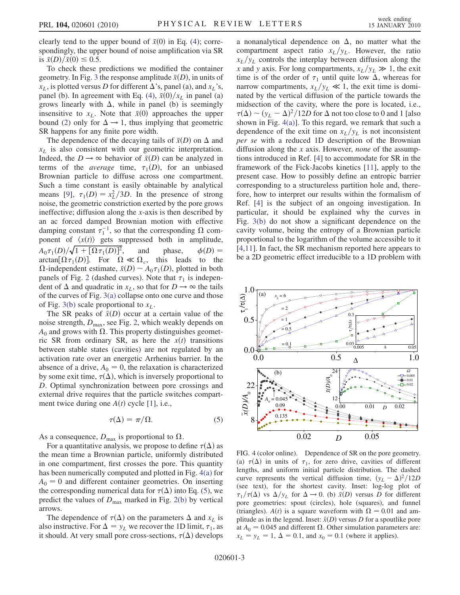clearly tend to the upper bound of  $\bar{x}(0)$  in Eq. ([4](#page-1-6)); correspondingly, the upper bound of noise amplification via SR is  $\bar{x}(D)/\bar{x}(0) \le 0.5$ .

To check these predictions we modified the container geometry. In Fig. [3](#page-1-2) the response amplitude  $\bar{x}(D)$ , in units of  $x_L$ , is plotted versus D for different  $\Delta$ 's, panel (a), and  $x_L$ 's, panel (b). In agreement with Eq. ([4\)](#page-1-6),  $\bar{x}(0)/x_L$  in panel (a) grows linearly with  $\Delta$ , while in panel (b) is seemingly insensitive to  $x_L$ . Note that  $\bar{x}(0)$  approaches the upper bound [\(2\)](#page-1-4) only for  $\Delta \rightarrow 1$ , thus implying that geometric SR happens for any finite pore width.

The dependence of the decaying tails of  $\bar{x}(D)$  on  $\Delta$  and  $x_L$  is also consistent with our geometric interpretation. Indeed, the  $D \to \infty$  behavior of  $\bar{x}(D)$  can be analyzed in terms of the *average* time,  $\tau_1(D)$ , for an unbiased Brownian particle to diffuse across one compartment. Such a time constant is easily obtainable by analytical means [[9](#page-3-8)],  $\tau_1(D) = x_L^2/3D$ . In the presence of strong noise, the geometric constriction exerted by the pore grows ineffective; diffusion along the  $x$ -axis is then described by an ac forced damped Brownian motion with effective damping constant  $\tau_1^{-1}$ , so that the corresponding  $\Omega$  component of  $\langle x(t) \rangle$  gets suppressed both in amplitude,  $A_0\tau_1(D)/\sqrt{1+[\Omega\tau_1(D)]^2}$ , and phase,  $\phi(D) =$  $\arctan[\Omega \tau_1(D)]$ . For  $\Omega \ll \Omega_c$ , this leads to the  $\Omega$ -independent estimate,  $\bar{x}(D) \sim A_0 \tau_1(D)$ , plotted in both panels of Fig. [2](#page-1-1) (dashed curves). Note that  $\tau_1$  is independent of  $\Delta$  and quadratic in  $x_L$ , so that for  $D \rightarrow \infty$  the tails of the curves of Fig. [3\(a\)](#page-1-7) collapse onto one curve and those of Fig. [3\(b\)](#page-1-7) scale proportional to  $x_L$ .

The SR peaks of  $\bar{x}(D)$  occur at a certain value of the noise strength,  $D_{\text{max}}$ , see Fig. [2,](#page-1-1) which weakly depends on  $A_0$  and grows with  $\Omega$ . This property distinguishes geometric SR from ordinary SR, as here the  $x(t)$  transitions between stable states (cavities) are not regulated by an activation rate over an energetic Arrhenius barrier. In the absence of a drive,  $A_0 = 0$ , the relaxation is characterized by some exit time,  $\tau(\Delta)$ , which is inversely proportional to D. Optimal synchronization between pore crossings and external drive requires that the particle switches compartment twice during one  $A(t)$  cycle [[1](#page-3-0)], i.e.,

$$
\tau(\Delta) = \pi/\Omega. \tag{5}
$$

<span id="page-2-2"></span>As a consequence,  $D_{\text{max}}$  is proportional to  $\Omega$ .

For a quantitative analysis, we propose to define  $\tau(\Delta)$  as the mean time a Brownian particle, uniformly distributed in one compartment, first crosses the pore. This quantity has been numerically computed and plotted in Fig. [4\(a\)](#page-2-1) for  $A_0 = 0$  and different container geometries. On inserting the corresponding numerical data for  $\tau(\Delta)$  into Eq. ([5](#page-2-2)), we predict the values of  $D_{\text{max}}$  marked in Fig. [2\(b\)](#page-1-3) by vertical arrows.

The dependence of  $\tau(\Delta)$  on the parameters  $\Delta$  and  $x_L$  is also instructive. For  $\Delta = y_L$  we recover the 1D limit,  $\tau_1$ , as it should. At very small pore cross-sections,  $\tau(\Delta)$  develops a nonanalytical dependence on  $\Delta$ , no matter what the compartment aspect ratio  $x_L/y_L$ . However, the ratio  $x_L/y_L$  controls the interplay between diffusion along the x and y axis. For long compartments,  $x_L/y_L \gg 1$ , the exit time is of the order of  $\tau_1$  until quite low  $\Delta$ , whereas for narrow compartments,  $x_L/y_L \ll 1$ , the exit time is dominated by the vertical diffusion of the particle towards the midsection of the cavity, where the pore is located, i.e.,  $\tau(\Delta) \sim (y_L - \Delta)^2 / 12D$  for  $\Delta$  not too close to 0 and 1 [also shown in Fig. [4\(a\)\]](#page-2-1). To this regard, we remark that such a dependence of the exit time on  $x_L/y_L$  is not inconsistent per se with a reduced 1D description of the Brownian diffusion along the x axis. However, *none* of the assumptions introduced in Ref. [\[4\]](#page-3-3) to accommodate for SR in the framework of the Fick-Jacobs kinetics [[11](#page-3-10)], apply to the present case. How to possibly define an entropic barrier corresponding to a structureless partition hole and, therefore, how to interpret our results within the formalism of Ref. [\[4\]](#page-3-3) is the subject of an ongoing investigation. In particular, it should be explained why the curves in Fig. [3\(b\)](#page-1-7) do not show a significant dependence on the cavity volume, being the entropy of a Brownian particle proportional to the logarithm of the volume accessible to it [\[4,](#page-3-3)[11\]](#page-3-10). In fact, the SR mechanism reported here appears to be a 2D geometric effect irreducible to a 1D problem with

<span id="page-2-0"></span>

<span id="page-2-1"></span>FIG. 4 (color online). Dependence of SR on the pore geometry. (a)  $\tau(\Delta)$  in units of  $\tau_1$ , for zero drive, cavities of different lengths, and uniform initial particle distribution. The dashed curve represents the vertical diffusion time,  $(y_L - \Delta)^2 / 12D$ (see text), for the shortest cavity. Inset: log-log plot of  $\tau_1/\tau(\Delta)$  vs  $\Delta/y_L$  for  $\Delta \to 0$ . (b)  $\bar{x}(D)$  versus D for different pore geometries: spout (circles), hole (squares), and funnel (triangles).  $A(t)$  is a square waveform with  $\Omega = 0.01$  and amplitude as in the legend. Inset:  $\bar{x}(D)$  versus D for a spoutlike pore at  $A_0 = 0.045$  and different  $\Omega$ . Other simulation parameters are:  $x_L = y_L = 1, \Delta = 0.1, \text{ and } x_0 = 0.1 \text{ (where it applies).}$